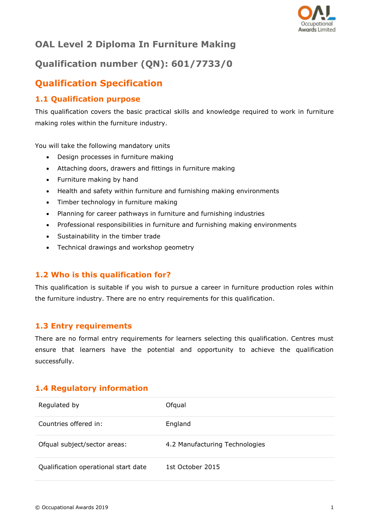

## **OAL Level 2 Diploma In Furniture Making**

# **Qualification number (QN): 601/7733/0**

## **Qualification Specification**

### **1.1 Qualification purpose**

This qualification covers the basic practical skills and knowledge required to work in furniture making roles within the furniture industry.

You will take the following mandatory units

- Design processes in furniture making
- Attaching doors, drawers and fittings in furniture making
- Furniture making by hand
- Health and safety within furniture and furnishing making environments
- Timber technology in furniture making
- Planning for career pathways in furniture and furnishing industries
- Professional responsibilities in furniture and furnishing making environments
- Sustainability in the timber trade
- Technical drawings and workshop geometry

### **1.2 Who is this qualification for?**

This qualification is suitable if you wish to pursue a career in furniture production roles within the furniture industry. There are no entry requirements for this qualification.

### **1.3 Entry requirements**

There are no formal entry requirements for learners selecting this qualification. Centres must ensure that learners have the potential and opportunity to achieve the qualification successfully.

### **1.4 Regulatory information**

| Regulated by                         | Ofqual                         |
|--------------------------------------|--------------------------------|
| Countries offered in:                | England                        |
| Ofqual subject/sector areas:         | 4.2 Manufacturing Technologies |
| Qualification operational start date | 1st October 2015               |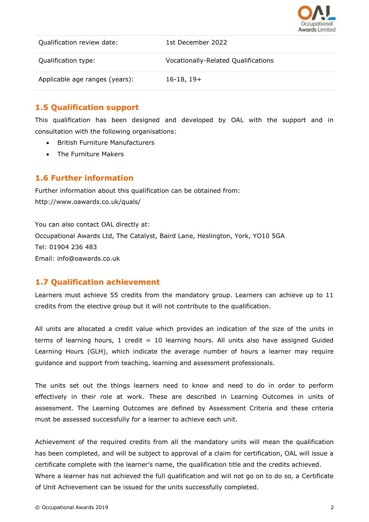

| Qualification review date:     | 1st December 2022                   |
|--------------------------------|-------------------------------------|
| Qualification type:            | Vocationally-Related Qualifications |
| Applicable age ranges (years): | $16-18, 19+$                        |

### **1.5 Qualification support**

This qualification has been designed and developed by OAL with the support and in consultation with the following organisations:

- British Furniture Manufacturers
- The Furniture Makers

### **1.6 Further information**

Further information about this qualification can be obtained from: http://www.oawards.co.uk/quals/

You can also contact OAL directly at: Occupational Awards Ltd, The Catalyst, Baird Lane, Heslington, York, YO10 5GA Tel: 01904 236 483 Email: info@oawards.co.uk

### **1.7 Qualification achievement**

Learners must achieve 55 credits from the mandatory group. Learners can achieve up to 11 credits from the elective group but it will not contribute to the qualification.

All units are allocated a credit value which provides an indication of the size of the units in terms of learning hours, 1 credit = 10 learning hours. All units also have assigned Guided Learning Hours (GLH), which indicate the average number of hours a learner may require guidance and support from teaching, learning and assessment professionals.

The units set out the things learners need to know and need to do in order to perform effectively in their role at work. These are described in Learning Outcomes in units of assessment. The Learning Outcomes are defined by Assessment Criteria and these criteria must be assessed successfully for a learner to achieve each unit.

Achievement of the required credits from all the mandatory units will mean the qualification has been completed, and will be subject to approval of a claim for certification, OAL will issue a certificate complete with the learner's name, the qualification title and the credits achieved. Where a learner has not achieved the full qualification and will not go on to do so, a Certificate of Unit Achievement can be issued for the units successfully completed.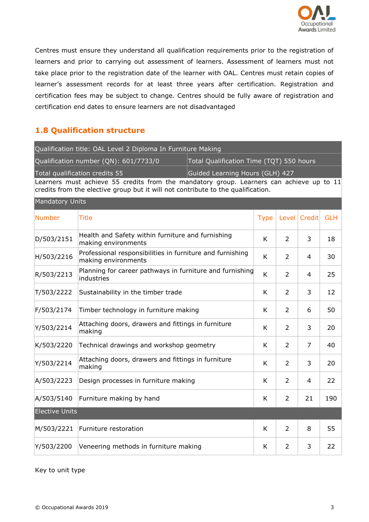

Centres must ensure they understand all qualification requirements prior to the registration of learners and prior to carrying out assessment of learners. Assessment of learners must not take place prior to the registration date of the learner with OAL. Centres must retain copies of learner's assessment records for at least three years after certification. Registration and certification fees may be subject to change. Centres should be fully aware of registration and certification end dates to ensure learners are not disadvantaged

### **1.8 Qualification structure**

|                        | Qualification title: OAL Level 2 Diploma In Furniture Making                                                                                                                 |   |                |                |            |
|------------------------|------------------------------------------------------------------------------------------------------------------------------------------------------------------------------|---|----------------|----------------|------------|
|                        | Qualification number (QN): 601/7733/0<br>Total Qualification Time (TQT) 550 hours                                                                                            |   |                |                |            |
|                        | Total qualification credits 55<br>Guided Learning Hours (GLH) 427                                                                                                            |   |                |                |            |
|                        | Learners must achieve 55 credits from the mandatory group. Learners can achieve up to 11<br>credits from the elective group but it will not contribute to the qualification. |   |                |                |            |
| <b>Mandatory Units</b> |                                                                                                                                                                              |   |                |                |            |
| <b>Number</b>          | <b>Title</b>                                                                                                                                                                 |   | Level          | Credit         | <b>GLH</b> |
| D/503/2151             | Health and Safety within furniture and furnishing<br>making environments                                                                                                     |   | $\overline{2}$ | 3              | 18         |
| H/503/2216             | Professional responsibilities in furniture and furnishing<br>making environments                                                                                             |   | $\overline{2}$ | 4              | 30         |
| R/503/2213             | Planning for career pathways in furniture and furnishing<br>industries                                                                                                       |   | $\overline{2}$ | 4              | 25         |
| T/503/2222             | Sustainability in the timber trade                                                                                                                                           |   | $\overline{2}$ | 3              | 12         |
| F/503/2174             | Timber technology in furniture making                                                                                                                                        |   | $\overline{2}$ | 6              | 50         |
| Y/503/2214             | Attaching doors, drawers and fittings in furniture<br>making                                                                                                                 |   | $\overline{2}$ | 3              | 20         |
| K/503/2220             | Technical drawings and workshop geometry                                                                                                                                     | K | $\overline{2}$ | $\overline{7}$ | 40         |
| Y/503/2214             | Attaching doors, drawers and fittings in furniture<br>making                                                                                                                 | K | $\overline{2}$ | 3              | 20         |
| A/503/2223             | Design processes in furniture making                                                                                                                                         | K | $\overline{2}$ | 4              | 22         |
| A/503/5140             | Furniture making by hand                                                                                                                                                     |   | $\overline{2}$ | 21             | 190        |
| <b>Elective Units</b>  |                                                                                                                                                                              |   |                |                |            |
| M/503/2221             | Furniture restoration                                                                                                                                                        | K | $\overline{2}$ | 8              | 55         |
| Y/503/2200             | Veneering methods in furniture making                                                                                                                                        | K | $\overline{2}$ | 3              | 22         |

Key to unit type